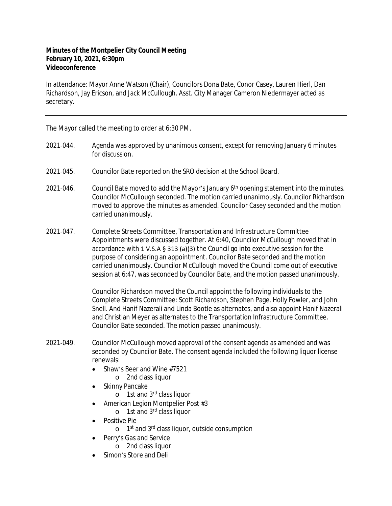## **Minutes of the Montpelier City Council Meeting February 10, 2021, 6:30pm Videoconference**

In attendance: Mayor Anne Watson (Chair), Councilors Dona Bate, Conor Casey, Lauren Hierl, Dan Richardson, Jay Ericson, and Jack McCullough. Asst. City Manager Cameron Niedermayer acted as secretary.

The Mayor called the meeting to order at 6:30 PM.

- 2021‐044. Agenda was approved by unanimous consent, except for removing January 6 minutes for discussion.
- 2021‐045. Councilor Bate reported on the SRO decision at the School Board.
- 2021-046. Council Bate moved to add the Mayor's January  $6<sup>th</sup>$  opening statement into the minutes. Councilor McCullough seconded. The motion carried unanimously. Councilor Richardson moved to approve the minutes as amended. Councilor Casey seconded and the motion carried unanimously.
- 2021‐047. Complete Streets Committee, Transportation and Infrastructure Committee Appointments were discussed together. At 6:40, Councilor McCullough moved that in accordance with 1 V.S.A § 313 (a)(3) the Council go into executive session for the purpose of considering an appointment. Councilor Bate seconded and the motion carried unanimously. Councilor McCullough moved the Council come out of executive session at 6:47, was seconded by Councilor Bate, and the motion passed unanimously.

Councilor Richardson moved the Council appoint the following individuals to the Complete Streets Committee: Scott Richardson, Stephen Page, Holly Fowler, and John Snell. And Hanif Nazerali and Linda Bootle as alternates, and also appoint Hanif Nazerali and Christian Meyer as alternates to the Transportation Infrastructure Committee. Councilor Bate seconded. The motion passed unanimously.

- 2021‐049. Councilor McCullough moved approval of the consent agenda as amended and was seconded by Councilor Bate. The consent agenda included the following liquor license renewals:
	- Shaw's Beer and Wine #7521
		- o 2nd class liquor
	- Skinny Pancake
		- o 1st and 3rd class liquor
	- American Legion Montpelier Post #3
		- o 1st and 3rd class liquor
	- Positive Pie
		- o 1<sup>st</sup> and 3<sup>rd</sup> class liquor, outside consumption
	- Perry's Gas and Service
		- o 2nd class liquor
	- Simon's Store and Deli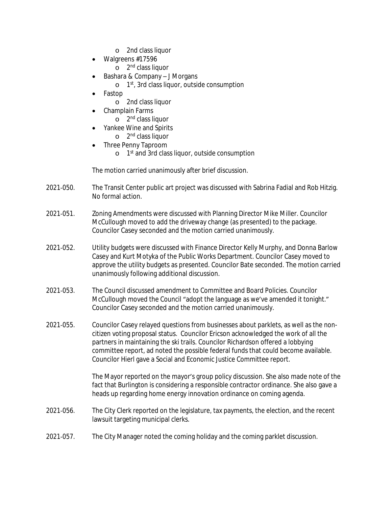- o 2nd class liquor
- Walgreens #17596
	- o 2<sup>nd</sup> class liquor
- Bashara & Company J Morgans
	- o 1 st, 3rd class liquor, outside consumption
- Fastop
	- o 2nd class liquor
- Champlain Farms
	- o 2<sup>nd</sup> class liquor
- Yankee Wine and Spirits
	- o 2<sup>nd</sup> class liquor Three Penny Taproom
		- o 1 st and 3rd class liquor, outside consumption

The motion carried unanimously after brief discussion.

- 2021‐050. The Transit Center public art project was discussed with Sabrina Fadial and Rob Hitzig. No formal action.
- 2021‐051. Zoning Amendments were discussed with Planning Director Mike Miller. Councilor McCullough moved to add the driveway change (as presented) to the package. Councilor Casey seconded and the motion carried unanimously.
- 2021‐052. Utility budgets were discussed with Finance Director Kelly Murphy, and Donna Barlow Casey and Kurt Motyka of the Public Works Department. Councilor Casey moved to approve the utility budgets as presented. Councilor Bate seconded. The motion carried unanimously following additional discussion.
- 2021‐053. The Council discussed amendment to Committee and Board Policies. Councilor McCullough moved the Council "adopt the language as we've amended it tonight." Councilor Casey seconded and the motion carried unanimously.
- 2021‐055. Councilor Casey relayed questions from businesses about parklets, as well as the noncitizen voting proposal status. Councilor Ericson acknowledged the work of all the partners in maintaining the ski trails. Councilor Richardson offered a lobbying committee report, ad noted the possible federal funds that could become available. Councilor Hierl gave a Social and Economic Justice Committee report.

The Mayor reported on the mayor's group policy discussion. She also made note of the fact that Burlington is considering a responsible contractor ordinance. She also gave a heads up regarding home energy innovation ordinance on coming agenda.

- 2021‐056. The City Clerk reported on the legislature, tax payments, the election, and the recent lawsuit targeting municipal clerks.
- 2021‐057. The City Manager noted the coming holiday and the coming parklet discussion.